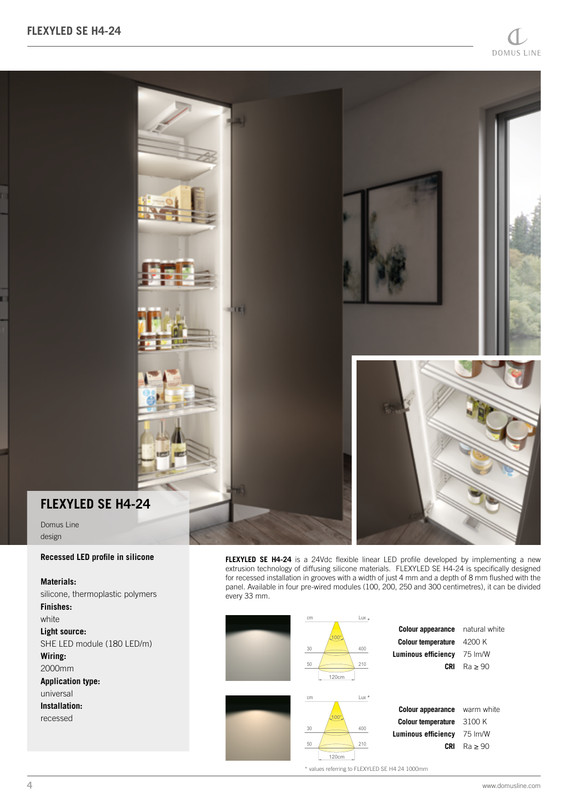

#### **Recessed LED profile in silicone**

## **Materials:**

Domus Line design

silicone, thermoplastic polymers **Finishes:** white **Light source:** SHE LED module (180 LED/m) **Wiring:** 2000mm **Application type:** universal **Installation:** recessed

**FLEXYLED SE H4-24** is a 24Vdc flexible linear LED profile developed by implementing a new extrusion technology of diffusing silicone materials. FLEXYLED SE H4-24 is specifically designed for recessed installation in grooves with a width of just 4 mm and a depth of 8 mm flushed with the panel. Available in four pre-wired modules (100, 200, 250 and 300 centimetres), it can be divided every 33 mm.



\* values referring to FLEXYLED SE H4 24 1000mm